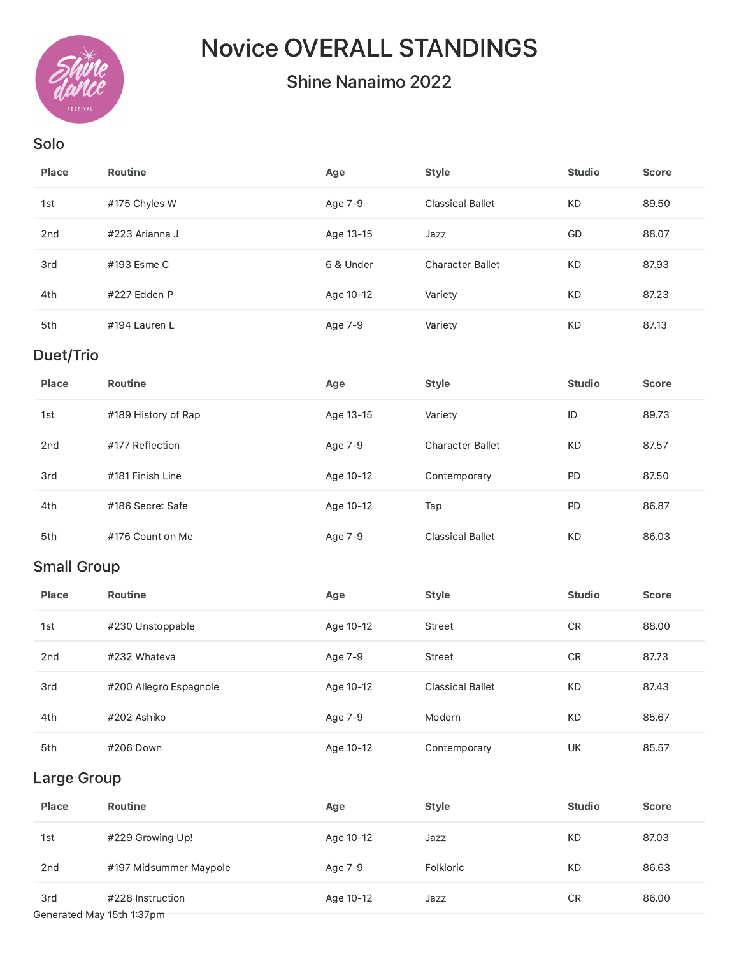

# Novice OVERALL STANDINGS

## Shine Nanaimo 2022

#### Solo

| Place           | <b>Routine</b> | Age       | <b>Style</b>            | <b>Studio</b> | <b>Score</b> |
|-----------------|----------------|-----------|-------------------------|---------------|--------------|
| 1st             | #175 Chyles W  | Age 7-9   | <b>Classical Ballet</b> | KD.           | 89.50        |
| 2 <sub>nd</sub> | #223 Arianna J | Age 13-15 | Jazz                    | GD            | 88.07        |
| 3rd             | #193 Esme C    | 6 & Under | <b>Character Ballet</b> | <b>KD</b>     | 87.93        |
| 4th             | #227 Edden P   | Age 10-12 | Variety                 | <b>KD</b>     | 87.23        |
| 5th             | #194 Lauren L  | Age 7-9   | Variety                 | KD            | 87.13        |

## Duet/Trio

| Place           | <b>Routine</b>      | Age       | <b>Style</b>            | <b>Studio</b> | <b>Score</b> |
|-----------------|---------------------|-----------|-------------------------|---------------|--------------|
| 1st             | #189 History of Rap | Age 13-15 | Variety                 | ID            | 89.73        |
| 2 <sub>nd</sub> | #177 Reflection     | Age 7-9   | <b>Character Ballet</b> | KD            | 87.57        |
| 3rd             | #181 Finish Line    | Age 10-12 | Contemporary            | <b>PD</b>     | 87.50        |
| 4th             | #186 Secret Safe    | Age 10-12 | Tap                     | <b>PD</b>     | 86.87        |
| 5th             | #176 Count on Me    | Age 7-9   | <b>Classical Ballet</b> | <b>KD</b>     | 86.03        |

## Small Group

| Place           | Routine                | Age       | <b>Style</b>            | <b>Studio</b> | <b>Score</b> |
|-----------------|------------------------|-----------|-------------------------|---------------|--------------|
| 1st             | #230 Unstoppable       | Age 10-12 | Street                  | <b>CR</b>     | 88.00        |
| 2 <sub>nd</sub> | #232 Whateva           | Age 7-9   | Street                  | CR            | 87.73        |
| 3rd             | #200 Allegro Espagnole | Age 10-12 | <b>Classical Ballet</b> | <b>KD</b>     | 87.43        |
| 4th             | #202 Ashiko            | Age 7-9   | Modern                  | <b>KD</b>     | 85.67        |
| 5th             | #206 Down              | Age 10-12 | Contemporary            | UK            | 85.57        |

#### Large Group

| Place                     | Routine                | Age       | <b>Style</b> | <b>Studio</b> | <b>Score</b> |  |
|---------------------------|------------------------|-----------|--------------|---------------|--------------|--|
| 1st                       | #229 Growing Up!       | Age 10-12 | Jazz         | <b>KD</b>     | 87.03        |  |
| 2 <sub>nd</sub>           | #197 Midsummer Maypole | Age 7-9   | Folkloric    | <b>KD</b>     | 86.63        |  |
| 3rd                       | #228 Instruction       | Age 10-12 | Jazz         | CR            | 86.00        |  |
| Generated May 15th 1:37pm |                        |           |              |               |              |  |